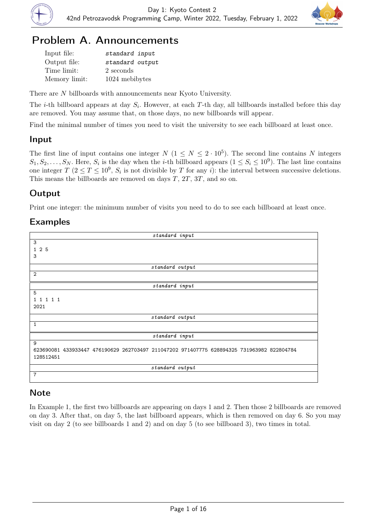



## Problem A. Announcements

| Input file:   | standard input  |
|---------------|-----------------|
| Output file:  | standard output |
| Time limit:   | 2 seconds       |
| Memory limit: | 1024 mebibytes  |

There are N billboards with announcements near Kyoto University.

The *i*-th billboard appears at day  $S_i$ . However, at each T-th day, all billboards installed before this day are removed. You may assume that, on those days, no new billboards will appear.

Find the minimal number of times you need to visit the university to see each billboard at least once.

### Input

The first line of input contains one integer  $N$   $(1 \leq N \leq 2 \cdot 10^5)$ . The second line contains N integers  $S_1, S_2, \ldots, S_N$ . Here,  $S_i$  is the day when the *i*-th billboard appears  $(1 \le S_i \le 10^9)$ . The last line contains one integer  $T (2 \le T \le 10^9, S_i$  is not divisible by T for any i): the interval between successive deletions. This means the billboards are removed on days  $T$ ,  $2T$ ,  $3T$ , and so on.

## Output

Print one integer: the minimum number of visits you need to do to see each billboard at least once.

## Examples

| standard input                                                                            |  |
|-------------------------------------------------------------------------------------------|--|
| 3                                                                                         |  |
| 125                                                                                       |  |
| 3                                                                                         |  |
|                                                                                           |  |
| standard output                                                                           |  |
| $\overline{2}$                                                                            |  |
| standard input                                                                            |  |
| 5                                                                                         |  |
| 1 1 1 1 1                                                                                 |  |
| 2021                                                                                      |  |
|                                                                                           |  |
| standard output                                                                           |  |
| 1                                                                                         |  |
|                                                                                           |  |
| standard input                                                                            |  |
| 9                                                                                         |  |
| 623690081 433933447 476190629 262703497 211047202 971407775 628894325 731963982 822804784 |  |
| 128512451                                                                                 |  |
| standard output                                                                           |  |
| $\overline{7}$                                                                            |  |

## **Note**

In Example 1, the first two billboards are appearing on days 1 and 2. Then those 2 billboards are removed on day 3. After that, on day 5, the last billboard appears, which is then removed on day 6. So you may visit on day 2 (to see billboards 1 and 2) and on day 5 (to see billboard 3), two times in total.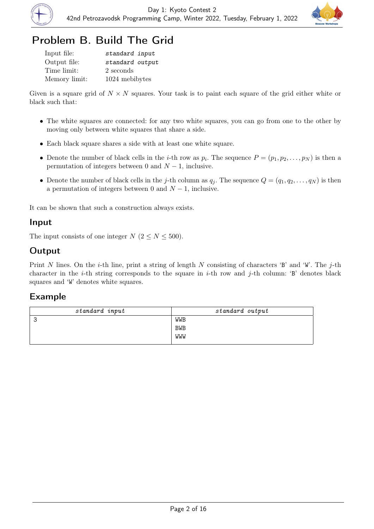



## Problem B. Build The Grid

| Input file:   | standard input  |
|---------------|-----------------|
| Output file:  | standard output |
| Time limit:   | 2 seconds       |
| Memory limit: | 1024 mebibytes  |

Given is a square grid of  $N \times N$  squares. Your task is to paint each square of the grid either white or black such that:

- The white squares are connected: for any two white squares, you can go from one to the other by moving only between white squares that share a side.
- Each black square shares a side with at least one white square.
- Denote the number of black cells in the *i*-th row as  $p_i$ . The sequence  $P = (p_1, p_2, \ldots, p_N)$  is then a permutation of integers between 0 and  $N-1$ , inclusive.
- Denote the number of black cells in the j-th column as  $q_j$ . The sequence  $Q = (q_1, q_2, \ldots, q_N)$  is then a permutation of integers between 0 and  $N-1$ , inclusive.

It can be shown that such a construction always exists.

#### Input

The input consists of one integer  $N$  ( $2 \le N \le 500$ ).

## **Output**

Print N lines. On the *i*-th line, print a string of length N consisting of characters 'B' and 'W'. The *j*-th character in the *i*-th string corresponds to the square in *i*-th row and *j*-th column: 'B' denotes black squares and 'W' denotes white squares.

| standard input | standard output |
|----------------|-----------------|
| ັ              | WWB             |
|                | <b>BWB</b>      |
|                | WWW             |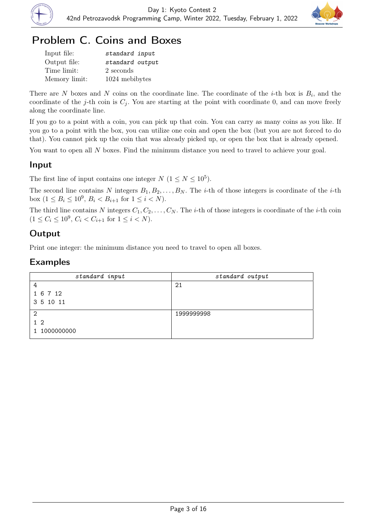



## Problem C. Coins and Boxes

| Input file:   | standard input  |
|---------------|-----------------|
| Output file:  | standard output |
| Time limit:   | 2 seconds       |
| Memory limit: | 1024 mebibytes  |

There are N boxes and N coins on the coordinate line. The coordinate of the *i*-th box is  $B_i$ , and the coordinate of the j-th coin is  $C_j$ . You are starting at the point with coordinate 0, and can move freely along the coordinate line.

If you go to a point with a coin, you can pick up that coin. You can carry as many coins as you like. If you go to a point with the box, you can utilize one coin and open the box (but you are not forced to do that). You cannot pick up the coin that was already picked up, or open the box that is already opened.

You want to open all N boxes. Find the minimum distance you need to travel to achieve your goal.

## Input

The first line of input contains one integer  $N$   $(1 \le N \le 10^5)$ .

The second line contains N integers  $B_1, B_2, \ldots, B_N$ . The *i*-th of those integers is coordinate of the *i*-th box  $(1 \le B_i \le 10^9, B_i < B_{i+1} \text{ for } 1 \le i < N).$ 

The third line contains N integers  $C_1, C_2, \ldots, C_N$ . The *i*-th of those integers is coordinate of the *i*-th coin  $(1 \le C_i \le 10^9, C_i < C_{i+1}$  for  $1 \le i < N$ ).

## **Output**

Print one integer: the minimum distance you need to travel to open all boxes.

| standard input | standard output |
|----------------|-----------------|
| 4              | 21              |
| 1 6 7 12       |                 |
| 3 5 10 11      |                 |
| 2              | 1999999998      |
| $1\,2$         |                 |
| 1 1000000000   |                 |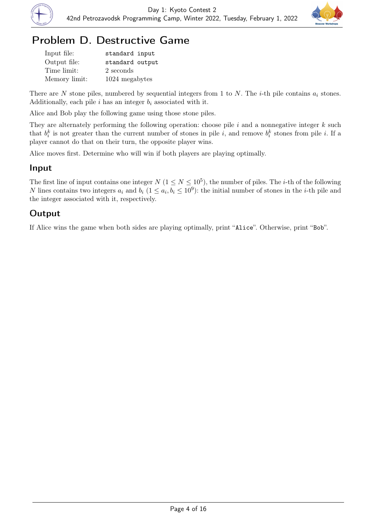



## Problem D. Destructive Game

| Input file:   | standard input  |
|---------------|-----------------|
| Output file:  | standard output |
| Time limit:   | 2 seconds       |
| Memory limit: | 1024 megabytes  |

There are N stone piles, numbered by sequential integers from 1 to N. The *i*-th pile contains  $a_i$  stones. Additionally, each pile  $i$  has an integer  $b_i$  associated with it.

Alice and Bob play the following game using those stone piles.

They are alternately performing the following operation: choose pile  $i$  and a nonnegative integer  $k$  such that  $b_i^k$  is not greater than the current number of stones in pile i, and remove  $b_i^k$  stones from pile i. If a player cannot do that on their turn, the opposite player wins.

Alice moves first. Determine who will win if both players are playing optimally.

## Input

The first line of input contains one integer  $N$   $(1 \le N \le 10^5)$ , the number of piles. The *i*-th of the following N lines contains two integers  $a_i$  and  $b_i$   $(1 \le a_i, b_i \le 10^9)$ : the initial number of stones in the *i*-th pile and the integer associated with it, respectively.

## **Output**

If Alice wins the game when both sides are playing optimally, print "Alice". Otherwise, print "Bob".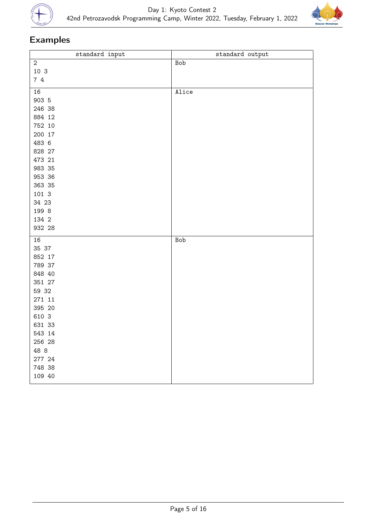



| standard input | standard output |
|----------------|-----------------|
| $\overline{2}$ | Bob             |
| 10 3           |                 |
| 74             |                 |
|                |                 |
| 16             | Alice           |
| 903 5          |                 |
| 246 38         |                 |
| 884 12         |                 |
| 752 10         |                 |
| 200 17         |                 |
| 483 6          |                 |
| 828 27         |                 |
| 473 21         |                 |
| 983 35         |                 |
| 953 36         |                 |
| 363 35         |                 |
| 101 3          |                 |
| 34 23          |                 |
| 199 8          |                 |
| 134 2          |                 |
|                |                 |
| 932 28         |                 |
| 16             | Bob             |
| 35 37          |                 |
| 852 17         |                 |
| 789 37         |                 |
| 848 40         |                 |
| 351 27         |                 |
| 59 32          |                 |
| 271 11         |                 |
| 395 20         |                 |
| 610 3          |                 |
| 631 33         |                 |
| 543 14         |                 |
| 256 28         |                 |
| 48 8           |                 |
| 277 24         |                 |
| 748 38         |                 |
| 109 40         |                 |
|                |                 |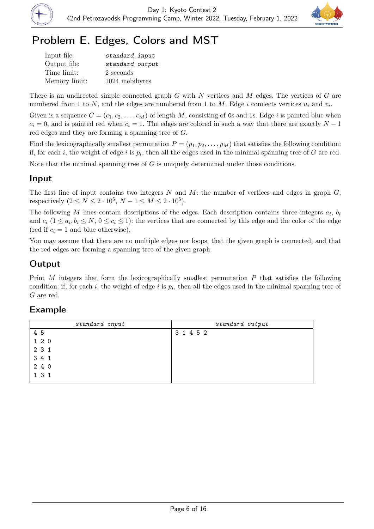



# Problem E. Edges, Colors and MST

| Input file:   | standard input  |
|---------------|-----------------|
| Output file:  | standard output |
| Time limit:   | 2 seconds       |
| Memory limit: | 1024 mebibytes  |

There is an undirected simple connected graph  $G$  with  $N$  vertices and  $M$  edges. The vertices of  $G$  are numbered from 1 to N, and the edges are numbered from 1 to M. Edge i connects vertices  $u_i$  and  $v_i$ .

Given is a sequence  $C = (c_1, c_2, \ldots, c_M)$  of length M, consisting of 0s and 1s. Edge i is painted blue when  $c_i = 0$ , and is painted red when  $c_i = 1$ . The edges are colored in such a way that there are exactly  $N - 1$ red edges and they are forming a spanning tree of G.

Find the lexicographically smallest permutation  $P = (p_1, p_2, \ldots, p_M)$  that satisfies the following condition: if, for each *i*, the weight of edge *i* is  $p_i$ , then all the edges used in the minimal spanning tree of G are red.

Note that the minimal spanning tree of  $G$  is uniquely determined under those conditions.

#### Input

The first line of input contains two integers  $N$  and  $M$ : the number of vertices and edges in graph  $G$ , respectively  $(2 \le N \le 2 \cdot 10^5, N - 1 \le M \le 2 \cdot 10^5)$ .

The following M lines contain descriptions of the edges. Each description contains three integers  $a_i$ ,  $b_i$ and  $c_i$   $(1 \le a_i, b_i \le N, 0 \le c_i \le 1)$ : the vertices that are connected by this edge and the color of the edge (red if  $c_i = 1$  and blue otherwise).

You may assume that there are no multiple edges nor loops, that the given graph is connected, and that the red edges are forming a spanning tree of the given graph.

## **Output**

Print  $M$  integers that form the lexicographically smallest permutation  $P$  that satisfies the following condition: if, for each i, the weight of edge i is  $p_i$ , then all the edges used in the minimal spanning tree of G are red.

| standard input | standard output |
|----------------|-----------------|
| 4 5            | 3 1 4 5 2       |
| $1\ 2\ 0$      |                 |
| 2 3 1          |                 |
| 3 4 1          |                 |
| 2 4 0          |                 |
| 131            |                 |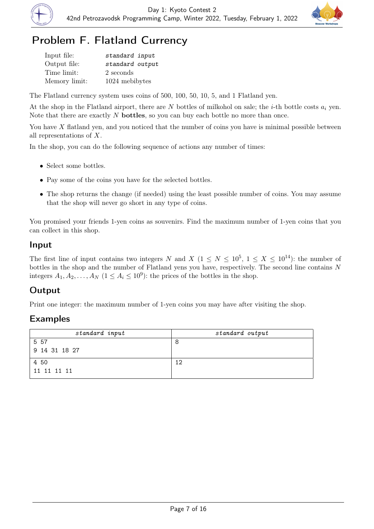



# Problem F. Flatland Currency

| Input file:   | standard input  |
|---------------|-----------------|
| Output file:  | standard output |
| Time limit:   | 2 seconds       |
| Memory limit: | 1024 mebibytes  |

The Flatland currency system uses coins of 500, 100, 50, 10, 5, and 1 Flatland yen.

At the shop in the Flatland airport, there are N bottles of milkohol on sale; the *i*-th bottle costs  $a_i$  yen. Note that there are exactly  $N$  bottles, so you can buy each bottle no more than once.

You have X flatland yen, and you noticed that the number of coins you have is minimal possible between all representations of X.

In the shop, you can do the following sequence of actions any number of times:

- Select some bottles.
- Pay some of the coins you have for the selected bottles.
- The shop returns the change (if needed) using the least possible number of coins. You may assume that the shop will never go short in any type of coins.

You promised your friends 1-yen coins as souvenirs. Find the maximum number of 1-yen coins that you can collect in this shop.

#### Input

The first line of input contains two integers N and X  $(1 \leq N \leq 10^5, 1 \leq X \leq 10^{14})$ : the number of bottles in the shop and the number of Flatland yens you have, respectively. The second line contains N integers  $A_1, A_2, \ldots, A_N$   $(1 \le A_i \le 10^9)$ : the prices of the bottles in the shop.

#### Output

Print one integer: the maximum number of 1-yen coins you may have after visiting the shop.

| standard input | standard output |
|----------------|-----------------|
| 5 5 7          |                 |
| 9 14 31 18 27  |                 |
| 4 50           | 12              |
| 11 11 11 11    |                 |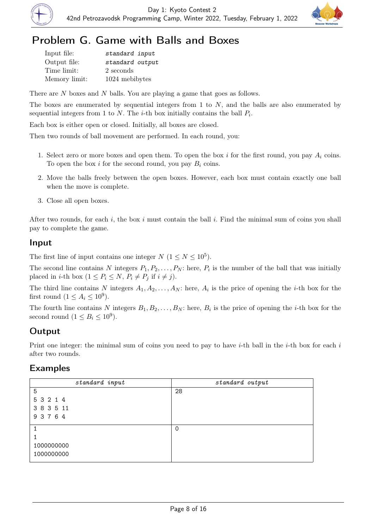



## Problem G. Game with Balls and Boxes

| Input file:   | standard input  |
|---------------|-----------------|
| Output file:  | standard output |
| Time limit:   | 2 seconds       |
| Memory limit: | 1024 mebibytes  |

There are N boxes and N balls. You are playing a game that goes as follows.

The boxes are enumerated by sequential integers from  $1$  to  $N$ , and the balls are also enumerated by sequential integers from 1 to N. The *i*-th box initially contains the ball  $P_i$ .

Each box is either open or closed. Initially, all boxes are closed.

Then two rounds of ball movement are performed. In each round, you:

- 1. Select zero or more boxes and open them. To open the box i for the first round, you pay  $A_i$  coins. To open the box i for the second round, you pay  $B_i$  coins.
- 2. Move the balls freely between the open boxes. However, each box must contain exactly one ball when the move is complete.
- 3. Close all open boxes.

After two rounds, for each i, the box i must contain the ball i. Find the minimal sum of coins you shall pay to complete the game.

#### Input

The first line of input contains one integer  $N$   $(1 \le N \le 10^5)$ .

The second line contains N integers  $P_1, P_2, \ldots, P_N$ : here,  $P_i$  is the number of the ball that was initially placed in *i*-th box  $(1 \le P_i \le N, P_i \ne P_j \text{ if } i \ne j).$ 

The third line contains N integers  $A_1, A_2, \ldots, A_N$ : here,  $A_i$  is the price of opening the *i*-th box for the first round  $(1 \leq A_i \leq 10^9)$ .

The fourth line contains N integers  $B_1, B_2, \ldots, B_N$ : here,  $B_i$  is the price of opening the *i*-th box for the second round  $(1 \leq B_i \leq 10^9)$ .

## Output

Print one integer: the minimal sum of coins you need to pay to have *i*-th ball in the *i*-th box for each *i* after two rounds.

| standard input | standard output |
|----------------|-----------------|
| 5              | 28              |
| 5 3 2 1 4      |                 |
| 3 8 3 5 11     |                 |
| 9 3 7 6 4      |                 |
|                | $\Omega$        |
|                |                 |
| 1000000000     |                 |
| 1000000000     |                 |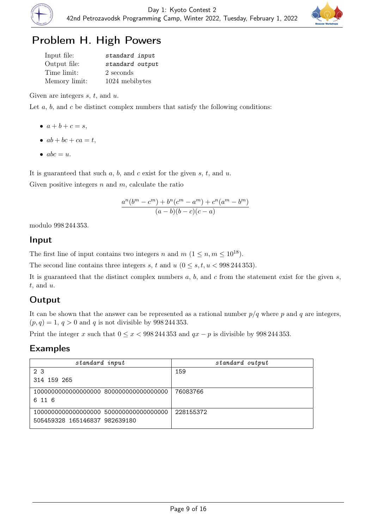



# Problem H. High Powers

| Input file:   | standard input  |
|---------------|-----------------|
| Output file:  | standard output |
| Time limit:   | 2 seconds       |
| Memory limit: | 1024 mebibytes  |

Given are integers  $s, t$ , and  $u$ .

Let  $a, b$ , and  $c$  be distinct complex numbers that satisfy the following conditions:

- $a + b + c = s$ ,
- $ab + bc + ca = t$ ,
- $abc = u$ .

It is guaranteed that such  $a, b$ , and  $c$  exist for the given  $s, t$ , and  $u$ .

Given positive integers  $n$  and  $m$ , calculate the ratio

$$
\frac{a^n(b^m - c^m) + b^n(c^m - a^m) + c^n(a^m - b^m)}{(a - b)(b - c)(c - a)}
$$

modulo 998 244 353.

#### Input

The first line of input contains two integers n and  $m$   $(1 \leq n, m \leq 10^{18})$ .

The second line contains three integers s, t and  $u$  ( $0 \leq s, t, u < 998244353$ ).

It is guaranteed that the distinct complex numbers  $a, b$ , and  $c$  from the statement exist for the given  $s$ ,  $t$ , and  $u$ .

## **Output**

It can be shown that the answer can be represented as a rational number  $p/q$  where p and q are integers,  $(p, q) = 1, q > 0$  and q is not divisible by 998 244 353.

Print the integer x such that  $0 \le x < 998244353$  and  $qx - p$  is divisible by 998244353.

| standard input                | standard output |
|-------------------------------|-----------------|
| 2 <sub>3</sub>                | 159             |
| 314 159 265                   |                 |
|                               | 76083766        |
| 6 11 6                        |                 |
|                               | 228155372       |
| 505459328 165146837 982639180 |                 |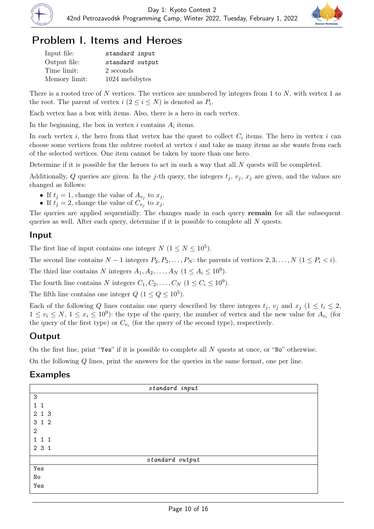



## Problem I. Items and Heroes

| Input file:   | standard input  |
|---------------|-----------------|
| Output file:  | standard output |
| Time limit:   | 2 seconds       |
| Memory limit: | 1024 mebibytes  |

There is a rooted tree of N vertices. The vertices are numbered by integers from 1 to N, with vertex 1 as the root. The parent of vertex  $i$   $(2 \leq i \leq N)$  is denoted as  $P_i$ .

Each vertex has a box with items. Also, there is a hero in each vertex.

In the beginning, the box in vertex  $i$  contains  $A_i$  items.

In each vertex i, the hero from that vertex has the quest to collect  $C_i$  items. The hero in vertex i can choose some vertices from the subtree rooted at vertex  $i$  and take as many items as she wants from each of the selected vertices. One item cannot be taken by more than one hero.

Determine if it is possible for the heroes to act in such a way that all N quests will be completed.

Additionally, Q queries are given. In the j-th query, the integers  $t_i$ ,  $v_i$ ,  $x_i$  are given, and the values are changed as follows:

- If  $t_j = 1$ , change the value of  $A_{v_j}$  to  $x_j$ .
- If  $t_j = 2$ , change the value of  $C_{v_j}$  to  $x_j$ .

The queries are applied sequentially. The changes made in each query **remain** for all the subsequent queries as well. After each query, determine if it is possible to complete all  $N$  quests.

#### Input

The first line of input contains one integer  $N$   $(1 \le N \le 10^5)$ .

The second line contains  $N-1$  integers  $P_2, P_3, \ldots, P_N$ : the parents of vertices  $2, 3, \ldots, N$   $(1 \leq P_i < i)$ .

The third line contains N integers  $A_1, A_2, \ldots, A_N$   $(1 \le A_i \le 10^9)$ .

The fourth line contains N integers  $C_1, C_2, \ldots, C_N$   $(1 \le C_i \le 10^9)$ .

The fifth line contains one integer  $Q$   $(1 \leq Q \leq 10^5)$ .

Each of the following Q lines contains one query described by three integers  $t_j$ ,  $v_j$  and  $x_j$  ( $1 \le t_i \le 2$ ,  $1 \leq v_i \leq N, \ 1 \leq x_i \leq 10^9$ ): the type of the query, the number of vertex and the new value for  $A_{v_i}$  (for the query of the first type) or  $C_{v_i}$  (for the query of the second type), respectively.

## Output

On the first line, print "Yes" if it is possible to complete all N quests at once, or "No" otherwise.

On the following Q lines, print the answers for the queries in the same format, one per line.

| standard input  |  |
|-----------------|--|
| $\mathsf 3$     |  |
| $1\quad1$       |  |
| 2 1 3           |  |
| 3 1 2           |  |
| $\mathbf{2}$    |  |
| 1 1 1           |  |
| 2 3 1           |  |
| standard output |  |
| Yes             |  |
| No              |  |
| Yes             |  |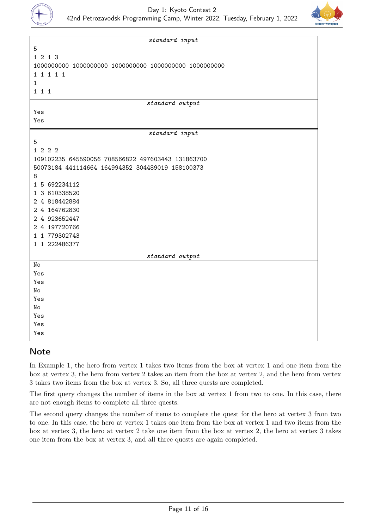



| standard input                                    |  |
|---------------------------------------------------|--|
| 5                                                 |  |
| 1 2 1 3                                           |  |
|                                                   |  |
| 1 1 1 1 1                                         |  |
| $\mathbf{1}$                                      |  |
| 1 1 1                                             |  |
| standard output                                   |  |
| Yes                                               |  |
| Yes                                               |  |
| standard input                                    |  |
| 5                                                 |  |
| 1 2 2 2                                           |  |
| 109102235 645590056 708566822 497603443 131863700 |  |
| 50073184 441114664 164994352 304489019 158100373  |  |
| 8                                                 |  |
| 1 5 692234112                                     |  |
| 1 3 610338520                                     |  |
| 2 4 818442884                                     |  |
| 2 4 164762830                                     |  |
| 2 4 923652447                                     |  |
| 2 4 197720766                                     |  |
| 1 1 779302743                                     |  |
| 1 1 222486377                                     |  |
| standard output                                   |  |
| No                                                |  |
| Yes                                               |  |
| Yes                                               |  |
| No                                                |  |
| Yes                                               |  |
| No                                                |  |
| Yes                                               |  |
| Yes                                               |  |
| Yes                                               |  |
|                                                   |  |

## **Note**

In Example 1, the hero from vertex 1 takes two items from the box at vertex 1 and one item from the box at vertex 3, the hero from vertex 2 takes an item from the box at vertex 2, and the hero from vertex 3 takes two items from the box at vertex 3. So, all three quests are completed.

The first query changes the number of items in the box at vertex 1 from two to one. In this case, there are not enough items to complete all three quests.

The second query changes the number of items to complete the quest for the hero at vertex 3 from two to one. In this case, the hero at vertex 1 takes one item from the box at vertex 1 and two items from the box at vertex 3, the hero at vertex 2 take one item from the box at vertex 2, the hero at vertex 3 takes one item from the box at vertex 3, and all three quests are again completed.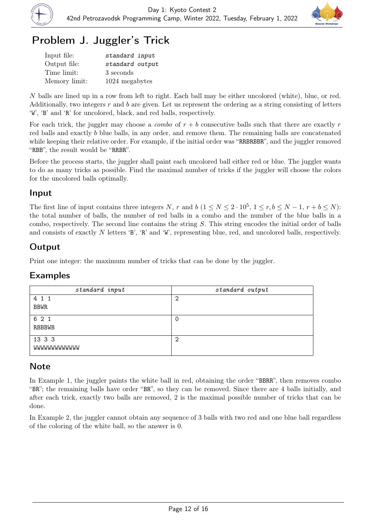



# Problem J. Juggler's Trick

| Input file:   | standard input  |
|---------------|-----------------|
| Output file:  | standard output |
| Time limit:   | 3 seconds       |
| Memory limit: | 1024 megabytes  |

N balls are lined up in a row from left to right. Each ball may be either uncolored (white), blue, or red. Additionally, two integers  $r$  and  $b$  are given. Let us represent the ordering as a string consisting of letters 'W', 'B' and 'R' for uncolored, black, and red balls, respectively.

For each trick, the juggler may choose a *combo* of  $r + b$  consecutive balls such that there are exactly r red balls and exactly b blue balls, in any order, and remove them. The remaining balls are concatenated while keeping their relative order. For example, if the initial order was "RRBRBBR", and the juggler removed "RBB", the result would be "RRBR".

Before the process starts, the juggler shall paint each uncolored ball either red or blue. The juggler wants to do as many tricks as possible. Find the maximal number of tricks if the juggler will choose the colors for the uncolored balls optimally.

### Input

The first line of input contains three integers N, r and b  $(1 \le N \le 2 \cdot 10^5, 1 \le r, b \le N - 1, r + b \le N)$ : the total number of balls, the number of red balls in a combo and the number of the blue balls in a combo, respectively. The second line contains the string  $S$ . This string encodes the initial order of balls and consists of exactly N letters 'B', 'R' and 'W', representing blue, red, and uncolored balls, respectively.

## Output

Print one integer: the maximum number of tricks that can be done by the juggler.

#### Examples

| standard input       | standard output |
|----------------------|-----------------|
| 4 1 1                | 2               |
| <b>BBWR</b>          |                 |
| 6 2 1                | 0               |
| RBBBWB               |                 |
| 13 3 3               | 2               |
| <b>MMMMMMMMMMMMM</b> |                 |

## Note

In Example 1, the juggler paints the white ball in red, obtaining the order "BBRR", then removes combo "BR"; the remaining balls have order "BR", so they can be removed. Since there are 4 balls initially, and after each trick, exactly two balls are removed, 2 is the maximal possible number of tricks that can be done.

In Example 2, the juggler cannot obtain any sequence of 3 balls with two red and one blue ball regardless of the coloring of the white ball, so the answer is 0.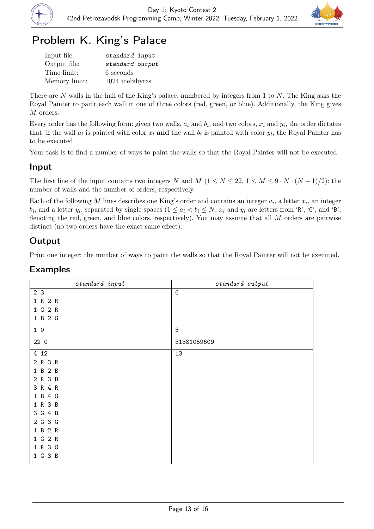



# Problem K. King's Palace

| Input file:   | standard input  |
|---------------|-----------------|
| Output file:  | standard output |
| Time limit:   | 6 seconds       |
| Memory limit: | 1024 mebibytes  |

There are N walls in the hall of the King's palace, numbered by integers from 1 to N. The King asks the Royal Painter to paint each wall in one of three colors (red, green, or blue). Additionally, the King gives M orders.

Every order has the following form: given two walls,  $a_i$  and  $b_i$ , and two colors,  $x_i$  and  $y_i$ , the order dictates that, if the wall  $a_i$  is painted with color  $x_i$  and the wall  $b_i$  is painted with color  $y_i$ , the Royal Painter has to be executed.

Your task is to find a number of ways to paint the walls so that the Royal Painter will not be executed.

### Input

The first line of the input contains two integers N and M  $(1 \le N \le 22, 1 \le M \le 9 \cdot N \cdot (N-1)/2)$ : the number of walls and the number of orders, respectively.

Each of the following M lines describes one King's order and contains an integer  $a_i$ , a letter  $x_i$ , an integer  $b_i$ , and a letter  $y_i$ , separated by single spaces  $(1 \le a_i < b_i \le N$ ,  $x_i$  and  $y_i$  are letters from 'R', 'G', and 'B', denoting the red, green, and blue colors, respectively). You may assume that all M orders are pairwise distinct (no two orders have the exact same effect).

## Output

Print one integer: the number of ways to paint the walls so that the Royal Painter will not be executed.

| standard input | standard output |
|----------------|-----------------|
| 2 3            | 6               |
| 1 R 2 R        |                 |
| 1 G 2 R        |                 |
| 1 B 2 G        |                 |
| 10             | 3               |
| 22 0           | 31381059609     |
| 4 12           | 13              |
| 2 R 3 R        |                 |
| 1 B 2 B        |                 |
| 2 R 3 B        |                 |
| 3 R 4 R        |                 |
| 1 B 4 G        |                 |
| 1 R 3 B        |                 |
| 3 G 4 B        |                 |
| 2 G 3 G        |                 |
| 1 B 2 R        |                 |
| 1 G 2 R        |                 |
| 1 R 3 G        |                 |
| 1 G 3 B        |                 |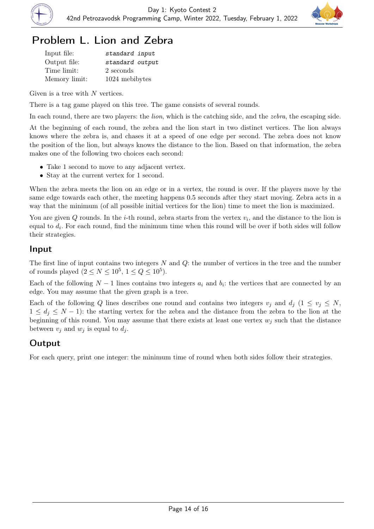



## Problem L. Lion and Zebra

| Input file:   | standard input  |
|---------------|-----------------|
| Output file:  | standard output |
| Time limit:   | 2 seconds       |
| Memory limit: | 1024 mebibytes  |

Given is a tree with  $N$  vertices.

There is a tag game played on this tree. The game consists of several rounds.

In each round, there are two players: the *lion*, which is the catching side, and the *zebra*, the escaping side.

At the beginning of each round, the zebra and the lion start in two distinct vertices. The lion always knows where the zebra is, and chases it at a speed of one edge per second. The zebra does not know the position of the lion, but always knows the distance to the lion. Based on that information, the zebra makes one of the following two choices each second:

- Take 1 second to move to any adjacent vertex.
- Stay at the current vertex for 1 second.

When the zebra meets the lion on an edge or in a vertex, the round is over. If the players move by the same edge towards each other, the meeting happens 0.5 seconds after they start moving. Zebra acts in a way that the minimum (of all possible initial vertices for the lion) time to meet the lion is maximized.

You are given  $Q$  rounds. In the *i*-th round, zebra starts from the vertex  $v_i$ , and the distance to the lion is equal to  $d_i$ . For each round, find the minimum time when this round will be over if both sides will follow their strategies.

#### Input

The first line of input contains two integers  $N$  and  $Q$ : the number of vertices in the tree and the number of rounds played  $(2 \leq N \leq 10^5, 1 \leq Q \leq 10^5)$ .

Each of the following  $N-1$  lines contains two integers  $a_i$  and  $b_i$ : the vertices that are connected by an edge. You may assume that the given graph is a tree.

Each of the following Q lines describes one round and contains two integers  $v_i$  and  $d_i$  ( $1 \le v_j \le N$ ,  $1 \leq d_j \leq N-1$ : the starting vertex for the zebra and the distance from the zebra to the lion at the beginning of this round. You may assume that there exists at least one vertex  $w_i$  such that the distance between  $v_j$  and  $w_j$  is equal to  $d_j$ .

## **Output**

For each query, print one integer: the minimum time of round when both sides follow their strategies.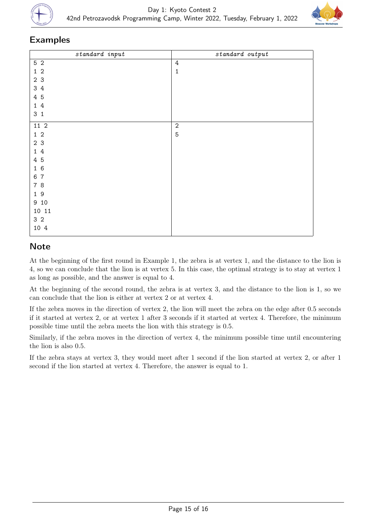



#### Examples

| $standard$ input               | $standard$ $output$ |
|--------------------------------|---------------------|
| $5\,$ 2                        | $\overline{4}$      |
| $1\,2$                         | $\mathbf 1$         |
| 2 <sub>3</sub>                 |                     |
| 34                             |                     |
| 4 5                            |                     |
| $\overline{4}$<br>$\mathbf{1}$ |                     |
| 3 <sub>1</sub>                 |                     |
| 11 2                           | $\sqrt{2}$          |
| $1\quad2$                      | $\mathbf 5$         |
| 2 <sub>3</sub>                 |                     |
| $\sqrt{4}$<br>$\mathbf{1}$     |                     |
| 4 5                            |                     |
| 16                             |                     |
| $\overline{7}$<br>6            |                     |
| 7 8                            |                     |
| 19                             |                     |
| 9 10                           |                     |
| 10 11                          |                     |
| 3 <sub>2</sub>                 |                     |
| 10 4                           |                     |

## **Note**

At the beginning of the first round in Example 1, the zebra is at vertex 1, and the distance to the lion is 4, so we can conclude that the lion is at vertex 5. In this case, the optimal strategy is to stay at vertex 1 as long as possible, and the answer is equal to 4.

At the beginning of the second round, the zebra is at vertex 3, and the distance to the lion is 1, so we can conclude that the lion is either at vertex 2 or at vertex 4.

If the zebra moves in the direction of vertex 2, the lion will meet the zebra on the edge after 0.5 seconds if it started at vertex 2, or at vertex 1 after 3 seconds if it started at vertex 4. Therefore, the minimum possible time until the zebra meets the lion with this strategy is 0.5.

Similarly, if the zebra moves in the direction of vertex 4, the minimum possible time until encountering the lion is also 0.5.

If the zebra stays at vertex 3, they would meet after 1 second if the lion started at vertex 2, or after 1 second if the lion started at vertex 4. Therefore, the answer is equal to 1.